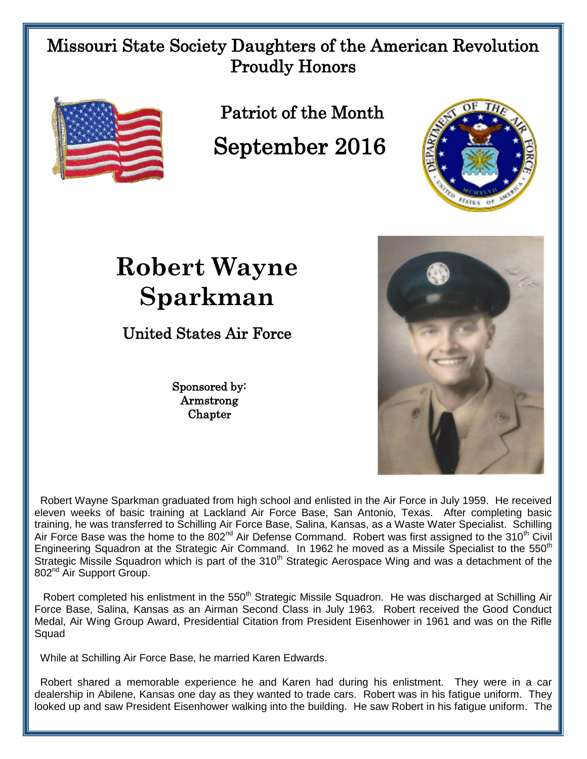## Missouri State Society Daughters of the American Revolution Proudly Honors



802<sup>nd</sup> Air Support Group.

Patriot of the Month September 2016



## **Robert Wayne Sparkman**

United States Air Force

Sponsored by: Armstrong **Chapter** 

 Robert Wayne Sparkman graduated from high school and enlisted in the Air Force in July 1959. He received eleven weeks of basic training at Lackland Air Force Base, San Antonio, Texas. After completing basic training, he was transferred to Schilling Air Force Base, Salina, Kansas, as a Waste Water Specialist. Schilling Air Force Base was the home to the 802<sup>nd</sup> Air Defense Command. Robert was first assigned to the 310<sup>th</sup> Civil Engineering Squadron at the Strategic Air Command. In 1962 he moved as a Missile Specialist to the 550<sup>th</sup>

Robert completed his enlistment in the 550<sup>th</sup> Strategic Missile Squadron. He was discharged at Schilling Air Force Base, Salina, Kansas as an Airman Second Class in July 1963. Robert received the Good Conduct Medal, Air Wing Group Award, Presidential Citation from President Eisenhower in 1961 and was on the Rifle Squad

Strategic Missile Squadron which is part of the 310<sup>th</sup> Strategic Aerospace Wing and was a detachment of the

While at Schilling Air Force Base, he married Karen Edwards.

 Robert shared a memorable experience he and Karen had during his enlistment. They were in a car dealership in Abilene, Kansas one day as they wanted to trade cars. Robert was in his fatigue uniform. They looked up and saw President Eisenhower walking into the building. He saw Robert in his fatigue uniform. The